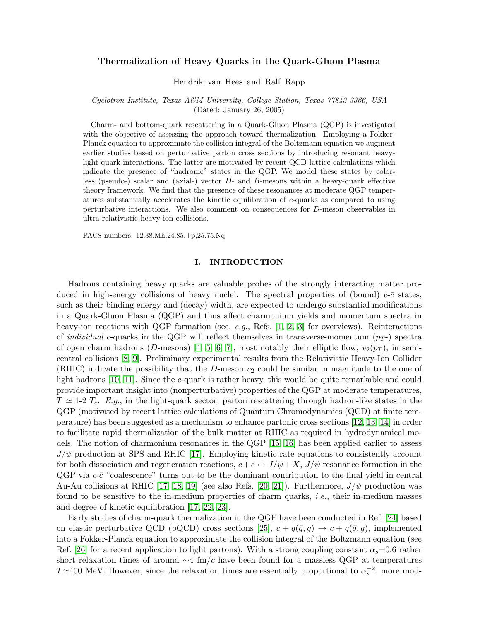# Thermalization of Heavy Quarks in the Quark-Gluon Plasma

Hendrik van Hees and Ralf Rapp

## Cyclotron Institute, Texas A&M University, College Station, Texas 77843-3366, USA (Dated: January 26, 2005)

Charm- and bottom-quark rescattering in a Quark-Gluon Plasma (QGP) is investigated with the objective of assessing the approach toward thermalization. Employing a Fokker-Planck equation to approximate the collision integral of the Boltzmann equation we augment earlier studies based on perturbative parton cross sections by introducing resonant heavylight quark interactions. The latter are motivated by recent QCD lattice calculations which indicate the presence of "hadronic" states in the QGP. We model these states by colorless (pseudo-) scalar and (axial-) vector D- and B-mesons within a heavy-quark effective theory framework. We find that the presence of these resonances at moderate QGP temperatures substantially accelerates the kinetic equilibration of c-quarks as compared to using perturbative interactions. We also comment on consequences for D-meson observables in ultra-relativistic heavy-ion collisions.

PACS numbers: 12.38.Mh,24.85.+p,25.75.Nq

### I. INTRODUCTION

Hadrons containing heavy quarks are valuable probes of the strongly interacting matter produced in high-energy collisions of heavy nuclei. The spectral properties of (bound)  $c$ - $\bar{c}$  states, such as their binding energy and (decay) width, are expected to undergo substantial modifications in a Quark-Gluon Plasma (QGP) and thus affect charmonium yields and momentum spectra in heavy-ion reactions with QGP formation (see, e.g., Refs. [\[1,](#page-13-0) [2,](#page-13-1) [3\]](#page-13-2) for overviews). Reinteractions of *individual* c-quarks in the QGP will reflect themselves in transverse-momentum  $(p_T)$  spectra of open charm hadrons (D-mesons) [\[4,](#page-13-3) [5,](#page-13-4) [6,](#page-13-5) [7\]](#page-13-6), most notably their elliptic flow,  $v_2(p_T)$ , in semicentral collisions [\[8,](#page-13-7) [9\]](#page-13-8). Preliminary experimental results from the Relativistic Heavy-Ion Collider (RHIC) indicate the possibility that the D-meson  $v_2$  could be similar in magnitude to the one of light hadrons [\[10,](#page-13-9) [11\]](#page-13-10). Since the c-quark is rather heavy, this would be quite remarkable and could provide important insight into (nonperturbative) properties of the QGP at moderate temperatures,  $T \simeq 1$ -2  $T_c$ . E.g., in the light-quark sector, parton rescattering through hadron-like states in the QGP (motivated by recent lattice calculations of Quantum Chromodynamics (QCD) at finite temperature) has been suggested as a mechanism to enhance partonic cross sections [\[12,](#page-13-11) [13,](#page-13-12) [14\]](#page-13-13) in order to facilitate rapid thermalization of the bulk matter at RHIC as required in hydrodynamical models. The notion of charmonium resonances in the QGP [\[15,](#page-13-14) [16\]](#page-13-15) has been applied earlier to assess  $J/\psi$  production at SPS and RHIC [\[17\]](#page-13-16). Employing kinetic rate equations to consistently account for both dissociation and regeneration reactions,  $c+\bar{c} \leftrightarrow J/\psi + X$ ,  $J/\psi$  resonance formation in the  $QGP$  via  $c$ - $\bar{c}$  "coalescence" turns out to be the dominant contribution to the final yield in central Au-Au collisions at RHIC [\[17,](#page-13-16) [18,](#page-13-17) [19\]](#page-13-18) (see also Refs. [\[20,](#page-13-19) [21\]](#page-13-20)). Furthermore,  $J/\psi$  production was found to be sensitive to the in-medium properties of charm quarks, *i.e.*, their in-medium masses and degree of kinetic equilibration [\[17,](#page-13-16) [22,](#page-13-21) [23\]](#page-13-22).

Early studies of charm-quark thermalization in the QGP have been conducted in Ref. [\[24\]](#page-13-23) based on elastic perturbative QCD (pQCD) cross sections [\[25\]](#page-13-24),  $c + q(\bar{q}, g) \rightarrow c + q(\bar{q}, g)$ , implemented into a Fokker-Planck equation to approximate the collision integral of the Boltzmann equation (see Ref. [\[26\]](#page-13-25) for a recent application to light partons). With a strong coupling constant  $\alpha_s=0.6$  rather short relaxation times of around  $\sim$ 4 fm/c have been found for a massless QGP at temperatures  $T\approx400$  MeV. However, since the relaxation times are essentially proportional to  $\alpha_s^{-2}$ , more mod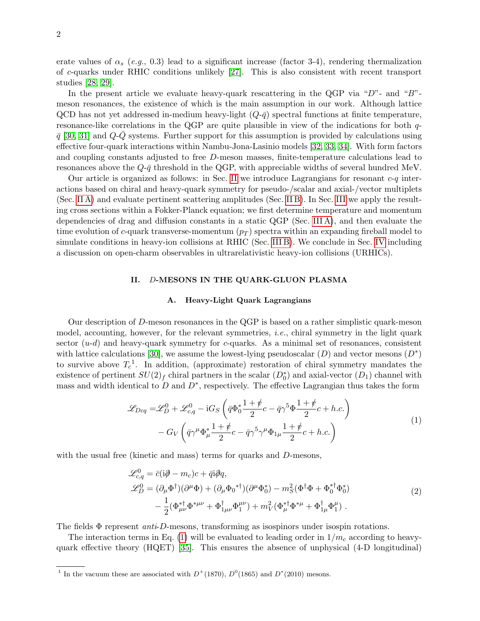erate values of  $\alpha_s$  (e.g., 0.3) lead to a significant increase (factor 3-4), rendering thermalization of c-quarks under RHIC conditions unlikely [\[27\]](#page-14-0). This is also consistent with recent transport studies [\[28,](#page-14-1) [29\]](#page-14-2).

In the present article we evaluate heavy-quark rescattering in the QGP via " $D$ "- and " $B$ "meson resonances, the existence of which is the main assumption in our work. Although lattice QCD has not yet addressed in-medium heavy-light  $(Q-\bar{q})$  spectral functions at finite temperature, resonance-like correlations in the QGP are quite plausible in view of the indications for both q- $\bar{q}$  [\[30,](#page-14-3) [31\]](#page-14-4) and  $Q-Q$  systems. Further support for this assumption is provided by calculations using effective four-quark interactions within Nambu-Jona-Lasinio models [\[32,](#page-14-5) [33,](#page-14-6) [34\]](#page-14-7). With form factors and coupling constants adjusted to free D-meson masses, finite-temperature calculations lead to resonances above the  $Q-\bar{q}$  threshold in the QGP, with appreciable widths of several hundred MeV.

Our article is organized as follows: in Sec. [II](#page-1-0) we introduce Lagrangians for resonant  $c-q$  interactions based on chiral and heavy-quark symmetry for pseudo-/scalar and axial-/vector multiplets (Sec. [II A\)](#page-1-1) and evaluate pertinent scattering amplitudes (Sec. [II B\)](#page-2-0). In Sec. [III](#page-5-0) we apply the resulting cross sections within a Fokker-Planck equation; we first determine temperature and momentum dependencies of drag and diffusion constants in a static QGP (Sec. [III A\)](#page-5-1), and then evaluate the time evolution of c-quark transverse-momentum  $(p_T)$  spectra within an expanding fireball model to simulate conditions in heavy-ion collisions at RHIC (Sec. [III B\)](#page-8-0). We conclude in Sec. [IV](#page-12-0) including a discussion on open-charm observables in ultrarelativistic heavy-ion collisions (URHICs).

# <span id="page-1-0"></span>II. D-MESONS IN THE QUARK-GLUON PLASMA

## <span id="page-1-2"></span><span id="page-1-1"></span>A. Heavy-Light Quark Lagrangians

Our description of D-meson resonances in the QGP is based on a rather simplistic quark-meson model, accounting, however, for the relevant symmetries, i.e., chiral symmetry in the light quark sector  $(u-d)$  and heavy-quark symmetry for c-quarks. As a minimal set of resonances, consistent with lattice calculations [\[30\]](#page-14-3), we assume the lowest-lying pseudoscalar  $(D)$  and vector mesons  $(D^*)$ to survive above  $T_c^1$ . In addition, (approximate) restoration of chiral symmetry mandates the existence of pertinent  $SU(2)_f$  chiral partners in the scalar  $(D_0^*)$  and axial-vector  $(D_1)$  channel with mass and width identical to D and  $D^*$ , respectively. The effective Lagrangian thus takes the form

$$
\mathcal{L}_{Dcq} = \mathcal{L}_D^0 + \mathcal{L}_{c,q}^0 - iG_S \left( \bar{q} \Phi_0^* \frac{1+\rlap{\hspace{0.02cm}/}{2}}{2} c - \bar{q} \gamma^5 \Phi \frac{1+\rlap{\hspace{0.02cm}/}{2}}{2} c + h.c. \right) \n- G_V \left( \bar{q} \gamma^\mu \Phi_\mu^* \frac{1+\rlap{\hspace{0.02cm}/}{2}}{2} c - \bar{q} \gamma^5 \gamma^\mu \Phi_{1\mu} \frac{1+\rlap{\hspace{0.02cm}/}{2}}{2} c + h.c. \right)
$$
\n(1)

with the usual free (kinetic and mass) terms for quarks and D-mesons,

$$
\mathcal{L}_{c,q}^{0} = \bar{c}(i\partial - m_{c})c + \bar{q}i\partial q, \n\mathcal{L}_{D}^{0} = (\partial_{\mu}\Phi^{\dagger})(\partial^{\mu}\Phi) + (\partial_{\mu}\Phi_{0}^{* \dagger})(\partial^{\mu}\Phi_{0}^{*}) - m_{S}^{2}(\Phi^{\dagger}\Phi + \Phi_{0}^{* \dagger}\Phi_{0}^{*}) \n- \frac{1}{2}(\Phi_{\mu\nu}^{* \dagger}\Phi^{*\mu\nu} + \Phi_{1\mu\nu}^{\dagger}\Phi_{1}^{\mu\nu}) + m_{V}^{2}(\Phi_{\mu}^{* \dagger}\Phi^{*\mu} + \Phi_{1\mu}^{\dagger}\Phi_{1}^{\mu}).
$$
\n(2)

The fields  $\Phi$  represent *anti-D*-mesons, transforming as isospinors under isospin rotations.

The interaction terms in Eq. [\(1\)](#page-1-2) will be evaluated to leading order in  $1/m_c$  according to heavyquark effective theory (HQET) [\[35\]](#page-14-8). This ensures the absence of unphysical (4-D longitudinal)

<sup>&</sup>lt;sup>1</sup> In the vacuum these are associated with  $D^+(1870)$ ,  $D^0(1865)$  and  $D^*(2010)$  mesons.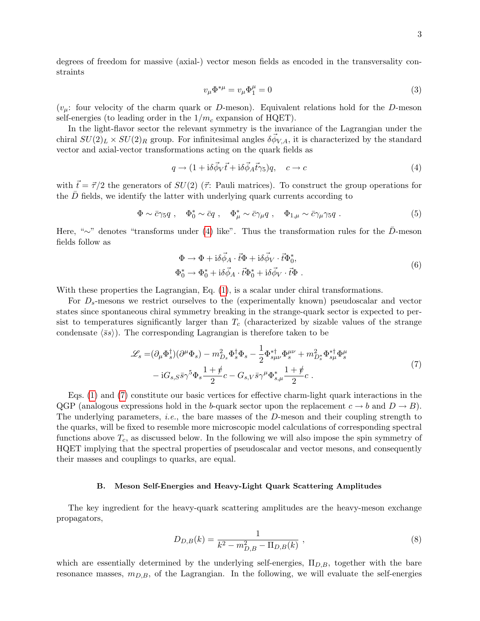degrees of freedom for massive (axial-) vector meson fields as encoded in the transversality constraints

<span id="page-2-1"></span>
$$
v_{\mu}\Phi^{*\mu} = v_{\mu}\Phi^{\mu}_1 = 0\tag{3}
$$

 $(v_\mu:$  four velocity of the charm quark or D-meson). Equivalent relations hold for the D-meson self-energies (to leading order in the  $1/m_c$  expansion of HQET).

In the light-flavor sector the relevant symmetry is the invariance of the Lagrangian under the chiral  $SU(2)_L \times SU(2)_R$  group. For infinitesimal angles  $\delta \vec{\phi}_{V,A}$ , it is characterized by the standard vector and axial-vector transformations acting on the quark fields as

$$
q \to (1 + i\delta\vec{\phi}_V \vec{t} + i\delta\vec{\phi}_A \vec{t}\gamma_5)q, \quad c \to c \tag{4}
$$

with  $\vec{t} = \vec{\tau}/2$  the generators of  $SU(2)$  ( $\vec{\tau}$ : Pauli matrices). To construct the group operations for the  $\bar{D}$  fields, we identify the latter with underlying quark currents according to

$$
\Phi \sim \bar{c}\gamma_5 q \ , \quad \Phi_0^* \sim \bar{c}q \ , \quad \Phi_\mu^* \sim \bar{c}\gamma_\mu q \ , \quad \Phi_{1,\mu} \sim \bar{c}\gamma_\mu \gamma_5 q \ . \tag{5}
$$

Here, "∼" denotes "transforms under [\(4\)](#page-2-1) like". Thus the transformation rules for the  $\bar{D}$ -meson fields follow as

<span id="page-2-2"></span>
$$
\Phi \to \Phi + i\delta \vec{\phi}_A \cdot \vec{t} \Phi + i\delta \vec{\phi}_V \cdot \vec{t} \Phi_0^*,
$$
  
\n
$$
\Phi_0^* \to \Phi_0^* + i\delta \vec{\phi}_A \cdot \vec{t} \Phi_0^* + i\delta \vec{\phi}_V \cdot \vec{t} \Phi .
$$
\n(6)

With these properties the Lagrangian, Eq.  $(1)$ , is a scalar under chiral transformations.

For  $D_s$ -mesons we restrict ourselves to the (experimentally known) pseudoscalar and vector states since spontaneous chiral symmetry breaking in the strange-quark sector is expected to persist to temperatures significantly larger than  $T_c$  (characterized by sizable values of the strange condensate  $\langle \bar{s}s \rangle$ ). The corresponding Lagrangian is therefore taken to be

$$
\mathcal{L}_s = (\partial_\mu \Phi_s^{\dagger})(\partial^\mu \Phi_s) - m_{D_s}^2 \Phi_s^{\dagger} \Phi_s - \frac{1}{2} \Phi_{s\mu\nu}^{*\dagger} \Phi_s^{\mu\nu} + m_{D_s^*}^2 \Phi_{s\mu}^{*\dagger} \Phi_s^{\mu}
$$
  

$$
-iG_{s,S} \bar{s}\gamma^5 \Phi_s \frac{1+\rlap/v}{2} c - G_{s,V} \bar{s}\gamma^\mu \Phi_{s,\mu}^* \frac{1+\rlap/v}{2} c . \tag{7}
$$

Eqs. [\(1\)](#page-1-2) and [\(7\)](#page-2-2) constitute our basic vertices for effective charm-light quark interactions in the QGP (analogous expressions hold in the b-quark sector upon the replacement  $c \to b$  and  $D \to B$ ). The underlying parameters, *i.e.*, the bare masses of the D-meson and their coupling strength to the quarks, will be fixed to resemble more microscopic model calculations of corresponding spectral functions above  $T_c$ , as discussed below. In the following we will also impose the spin symmetry of HQET implying that the spectral properties of pseudoscalar and vector mesons, and consequently their masses and couplings to quarks, are equal.

#### <span id="page-2-0"></span>B. Meson Self-Energies and Heavy-Light Quark Scattering Amplitudes

The key ingredient for the heavy-quark scattering amplitudes are the heavy-meson exchange propagators,

$$
D_{D,B}(k) = \frac{1}{k^2 - m_{D,B}^2 - \Pi_{D,B}(k)},
$$
\n(8)

which are essentially determined by the underlying self-energies,  $\Pi_{D,B}$ , together with the bare resonance masses,  $m_{D,B}$ , of the Lagrangian. In the following, we will evaluate the self-energies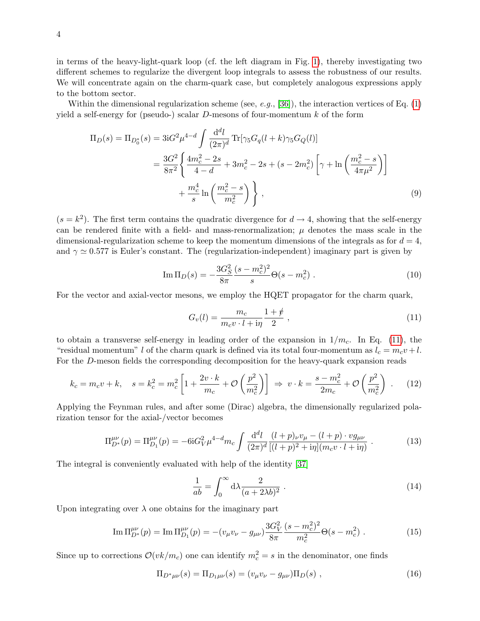in terms of the heavy-light-quark loop (cf. the left diagram in Fig. [1\)](#page-5-2), thereby investigating two different schemes to regularize the divergent loop integrals to assess the robustness of our results. We will concentrate again on the charm-quark case, but completely analogous expressions apply to the bottom sector.

Within the dimensional regularization scheme (see, e.g., [\[36\]](#page-14-9)), the interaction vertices of Eq.  $(1)$ yield a self-energy for (pseudo-) scalar  $D$ -mesons of four-momentum k of the form

$$
\Pi_D(s) = \Pi_{D_0^*}(s) = 3iG^2\mu^{4-d} \int \frac{d^dl}{(2\pi)^d} \text{Tr}[\gamma_5 G_q(l+k)\gamma_5 G_Q(l)]
$$
  
= 
$$
\frac{3G^2}{8\pi^2} \left\{ \frac{4m_c^2 - 2s}{4-d} + 3m_c^2 - 2s + (s - 2m_c^2) \left[ \gamma + \ln \left( \frac{m_c^2 - s}{4\pi\mu^2} \right) \right] + \frac{m_c^4}{s} \ln \left( \frac{m_c^2 - s}{m_c^2} \right) \right\},
$$
 (9)

 $(s = k<sup>2</sup>)$ . The first term contains the quadratic divergence for  $d \rightarrow 4$ , showing that the self-energy can be rendered finite with a field- and mass-renormalization;  $\mu$  denotes the mass scale in the dimensional-regularization scheme to keep the momentum dimensions of the integrals as for  $d = 4$ , and  $\gamma \simeq 0.577$  is Euler's constant. The (regularization-independent) imaginary part is given by

$$
\operatorname{Im} \Pi_D(s) = -\frac{3G_S^2}{8\pi} \frac{(s - m_c^2)^2}{s} \Theta(s - m_c^2) \ . \tag{10}
$$

For the vector and axial-vector mesons, we employ the HQET propagator for the charm quark,

<span id="page-3-0"></span>
$$
G_v(l) = \frac{m_c}{m_c v \cdot l + \mathrm{i} \eta} \frac{1 + \psi}{2} \,,\tag{11}
$$

to obtain a transverse self-energy in leading order of the expansion in  $1/m_c$ . In Eq. [\(11\)](#page-3-0), the "residual momentum" l of the charm quark is defined via its total four-momentum as  $l_c = m_c v + l$ . For the D-meson fields the corresponding decomposition for the heavy-quark expansion reads

$$
k_c = m_c v + k, \quad s = k_c^2 = m_c^2 \left[ 1 + \frac{2v \cdot k}{m_c} + \mathcal{O}\left(\frac{p^2}{m_c^2}\right) \right] \implies v \cdot k = \frac{s - m_c^2}{2m_c} + \mathcal{O}\left(\frac{p^2}{m_c^2}\right) \,. \tag{12}
$$

Applying the Feynman rules, and after some (Dirac) algebra, the dimensionally regularized polarization tensor for the axial-/vector becomes

$$
\Pi_{D^*}^{\mu\nu}(p) = \Pi_{D_1}^{\mu\nu}(p) = -6iG_V^2\mu^{4-d}m_c \int \frac{\mathrm{d}^d l}{(2\pi)^d} \frac{(l+p)_\nu v_\mu - (l+p) \cdot v g_{\mu\nu}}{[(l+p)^2 + i\eta](m_c v \cdot l + i\eta)} . \tag{13}
$$

The integral is conveniently evaluated with help of the identity [\[37\]](#page-14-10)

$$
\frac{1}{ab} = \int_0^\infty d\lambda \frac{2}{(a+2\lambda b)^2} \ . \tag{14}
$$

Upon integrating over  $\lambda$  one obtains for the imaginary part

$$
\operatorname{Im} \Pi_{D^*}^{\mu\nu}(p) = \operatorname{Im} \Pi_{D_1}^{\mu\nu}(p) = -(v_\mu v_\nu - g_{\mu\nu}) \frac{3G_V^2}{8\pi} \frac{(s - m_c^2)^2}{m_c^2} \Theta(s - m_c^2) \ . \tag{15}
$$

Since up to corrections  $\mathcal{O}(vk/m_c)$  one can identify  $m_c^2 = s$  in the denominator, one finds

$$
\Pi_{D^*\mu\nu}(s) = \Pi_{D_1\mu\nu}(s) = (v_\mu v_\nu - g_{\mu\nu})\Pi_D(s) , \qquad (16)
$$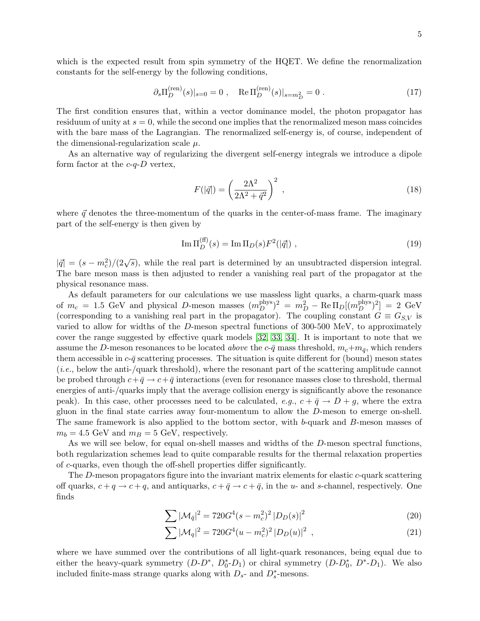<span id="page-4-0"></span>
$$
\partial_s \Pi_D^{\text{(ren)}}(s)|_{s=0} = 0
$$
, Re  $\Pi_D^{\text{(ren)}}(s)|_{s=m_D^2} = 0$ . (17)

The first condition ensures that, within a vector dominance model, the photon propagator has residuum of unity at  $s = 0$ , while the second one implies that the renormalized meson mass coincides with the bare mass of the Lagrangian. The renormalized self-energy is, of course, independent of the dimensional-regularization scale  $\mu$ .

As an alternative way of regularizing the divergent self-energy integrals we introduce a dipole form factor at the  $c-q-D$  vertex,

$$
F(|\vec{q}|) = \left(\frac{2\Lambda^2}{2\Lambda^2 + \vec{q}^2}\right)^2 \,,\tag{18}
$$

where  $\vec{q}$  denotes the three-momentum of the quarks in the center-of-mass frame. The imaginary part of the self-energy is then given by

$$
\operatorname{Im} \Pi_D^{(\text{ff})}(s) = \operatorname{Im} \Pi_D(s) F^2(|\vec{q}|) \tag{19}
$$

 $|\vec{q}| = (s - m_c^2)/(2\sqrt{s})$ , while the real part is determined by an unsubtracted dispersion integral. The bare meson mass is then adjusted to render a vanishing real part of the propagator at the physical resonance mass.

As default parameters for our calculations we use massless light quarks, a charm-quark mass of  $m_c = 1.5$  GeV and physical D-meson masses  $(m_D^{\text{phys}})^2 = m_D^2 - \text{Re}\,\Pi_D[(m_D^{\text{phys}})^2] = 2$  GeV (corresponding to a vanishing real part in the propagator). The coupling constant  $G \equiv G_{S,V}$  is varied to allow for widths of the D-meson spectral functions of 300-500 MeV, to approximately cover the range suggested by effective quark models [\[32,](#page-14-5) [33,](#page-14-6) [34\]](#page-14-7). It is important to note that we assume the D-meson resonances to be located above the  $c$ - $\bar{q}$  mass threshold,  $m_c+m_{\bar{q}}$ , which renders them accessible in  $c\text{-}\bar{q}$  scattering processes. The situation is quite different for (bound) meson states (i.e., below the anti-/quark threshold), where the resonant part of the scattering amplitude cannot be probed through  $c + \bar{q} \rightarrow c + \bar{q}$  interactions (even for resonance masses close to threshold, thermal energies of anti-/quarks imply that the average collision energy is significantly above the resonance peak). In this case, other processes need to be calculated, e.g.,  $c + \bar{q} \rightarrow D + g$ , where the extra gluon in the final state carries away four-momentum to allow the D-meson to emerge on-shell. The same framework is also applied to the bottom sector, with b-quark and B-meson masses of  $m_b = 4.5$  GeV and  $m_B = 5$  GeV, respectively.

As we will see below, for equal on-shell masses and widths of the D-meson spectral functions, both regularization schemes lead to quite comparable results for the thermal relaxation properties of c-quarks, even though the off-shell properties differ significantly.

The D-meson propagators figure into the invariant matrix elements for elastic c-quark scattering off quarks,  $c + q \rightarrow c + q$ , and antiquarks,  $c + \bar{q} \rightarrow c + \bar{q}$ , in the u- and s-channel, respectively. One finds

$$
\sum |\mathcal{M}_{\bar{q}}|^2 = 720G^4(s - m_c^2)^2 |D_D(s)|^2
$$
\n(20)

$$
\sum |\mathcal{M}_q|^2 = 720G^4(u - m_c^2)^2 |D_D(u)|^2 , \qquad (21)
$$

where we have summed over the contributions of all light-quark resonances, being equal due to either the heavy-quark symmetry  $(D-D^*, D_0^*D_1)$  or chiral symmetry  $(D-D_0^*, D^*-D_1)$ . We also included finite-mass strange quarks along with  $D_{s}$ - and  $D_{s}^{*}$ -mesons.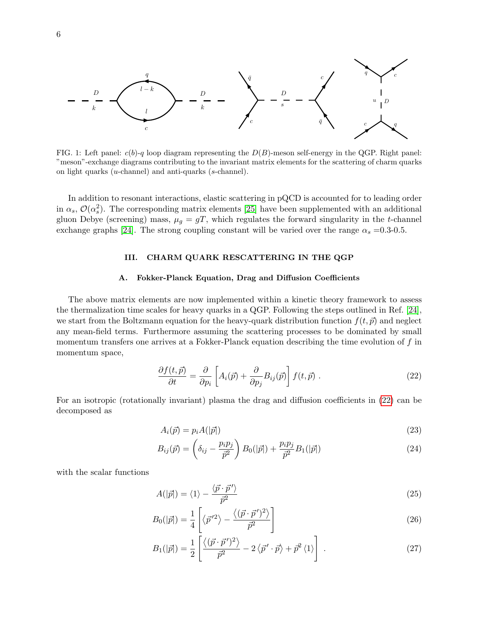

<span id="page-5-2"></span>FIG. 1: Left panel:  $c(b)-q$  loop diagram representing the  $D(B)$ -meson self-energy in the QGP. Right panel: "meson"-exchange diagrams contributing to the invariant matrix elements for the scattering of charm quarks on light quarks (u-channel) and anti-quarks (s-channel).

In addition to resonant interactions, elastic scattering in pQCD is accounted for to leading order in  $\alpha_s$ ,  $\mathcal{O}(\alpha_s^2)$ . The corresponding matrix elements [\[25\]](#page-13-24) have been supplemented with an additional gluon Debye (screening) mass,  $\mu_q = gT$ , which regulates the forward singularity in the t-channel exchange graphs [\[24\]](#page-13-23). The strong coupling constant will be varied over the range  $\alpha_s = 0.3{\text -}0.5$ .

## <span id="page-5-0"></span>III. CHARM QUARK RESCATTERING IN THE QGP

### <span id="page-5-1"></span>A. Fokker-Planck Equation, Drag and Diffusion Coefficients

The above matrix elements are now implemented within a kinetic theory framework to assess the thermalization time scales for heavy quarks in a QGP. Following the steps outlined in Ref. [\[24\]](#page-13-23), we start from the Boltzmann equation for the heavy-quark distribution function  $f(t, \vec{p})$  and neglect any mean-field terms. Furthermore assuming the scattering processes to be dominated by small momentum transfers one arrives at a Fokker-Planck equation describing the time evolution of f in momentum space,

<span id="page-5-3"></span>
$$
\frac{\partial f(t,\vec{p})}{\partial t} = \frac{\partial}{\partial p_i} \left[ A_i(\vec{p}) + \frac{\partial}{\partial p_j} B_{ij}(\vec{p}) \right] f(t,\vec{p}) . \tag{22}
$$

For an isotropic (rotationally invariant) plasma the drag and diffusion coefficients in [\(22\)](#page-5-3) can be decomposed as

$$
A_i(\vec{p}) = p_i A(|\vec{p}|) \tag{23}
$$

$$
B_{ij}(\vec{p}) = \left(\delta_{ij} - \frac{p_i p_j}{\vec{p}^2}\right) B_0(|\vec{p}|) + \frac{p_i p_j}{\vec{p}^2} B_1(|\vec{p}|) \tag{24}
$$

with the scalar functions

<span id="page-5-4"></span>
$$
A(|\vec{p}|) = \langle 1 \rangle - \frac{\langle \vec{p} \cdot \vec{p}' \rangle}{\vec{p}^2}
$$
\n(25)

$$
B_0(|\vec{p}|) = \frac{1}{4} \left[ \langle \vec{p}'^2 \rangle - \frac{\langle (\vec{p} \cdot \vec{p}')^2 \rangle}{\vec{p}^2} \right]
$$
(26)

<span id="page-5-5"></span>
$$
B_1(|\vec{p}|) = \frac{1}{2} \left[ \frac{\langle (\vec{p} \cdot \vec{p}')^2 \rangle}{\vec{p}^2} - 2 \langle \vec{p}' \cdot \vec{p} \rangle + \vec{p}^2 \langle 1 \rangle \right] . \tag{27}
$$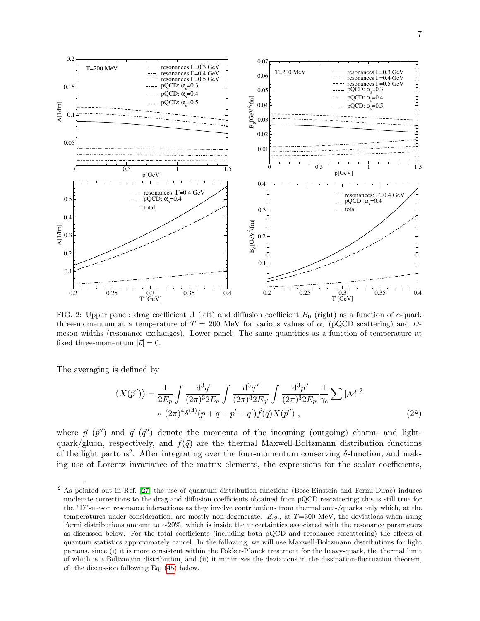

<span id="page-6-0"></span>FIG. 2: Upper panel: drag coefficient A (left) and diffusion coefficient  $B_0$  (right) as a function of c-quark three-momentum at a temperature of  $T = 200$  MeV for various values of  $\alpha_s$  (pQCD scattering) and Dmeson widths (resonance exchanges). Lower panel: The same quantities as a function of temperature at fixed three-momentum  $|\vec{p}| = 0$ .

The averaging is defined by

<span id="page-6-1"></span>
$$
\langle X(\vec{p}') \rangle = \frac{1}{2E_p} \int \frac{\mathrm{d}^3 \vec{q}}{(2\pi)^3 2E_q} \int \frac{\mathrm{d}^3 \vec{q}'}{(2\pi)^3 2E_{q'}} \int \frac{\mathrm{d}^3 \vec{p}'}{(2\pi)^3 2E_{p'}} \frac{1}{\gamma_c} \sum |\mathcal{M}|^2
$$
  
×  $(2\pi)^4 \delta^{(4)}(p+q-p'-q') \hat{f}(\vec{q}) X(\vec{p}')$ , (28)

where  $\vec{p}$  ( $\vec{p}'$ ) and  $\vec{q}$  ( $\vec{q}'$ ) denote the momenta of the incoming (outgoing) charm- and lightquark/gluon, respectively, and  $\hat{f}(\vec{q})$  are the thermal Maxwell-Boltzmann distribution functions of the light partons<sup>2</sup>. After integrating over the four-momentum conserving  $\delta$ -function, and making use of Lorentz invariance of the matrix elements, the expressions for the scalar coefficients,

<sup>&</sup>lt;sup>2</sup> As pointed out in Ref. [\[27\]](#page-14-0) the use of quantum distribution functions (Bose-Einstein and Fermi-Dirac) induces moderate corrections to the drag and diffusion coefficients obtained from pQCD rescattering; this is still true for the "D"-meson resonance interactions as they involve contributions from thermal anti-/quarks only which, at the temperatures under consideration, are mostly non-degenerate.  $E.g.,$  at  $T=300$  MeV, the deviations when using Fermi distributions amount to ∼20%, which is inside the uncertainties associated with the resonance parameters as discussed below. For the total coefficients (including both pQCD and resonance rescattering) the effects of quantum statistics approximately cancel. In the following, we will use Maxwell-Boltzmann distributions for light partons, since (i) it is more consistent within the Fokker-Planck treatment for the heavy-quark, the thermal limit of which is a Boltzmann distribution, and (ii) it minimizes the deviations in the dissipation-fluctuation theorem, cf. the discussion following Eq. [\(45\)](#page-9-0) below.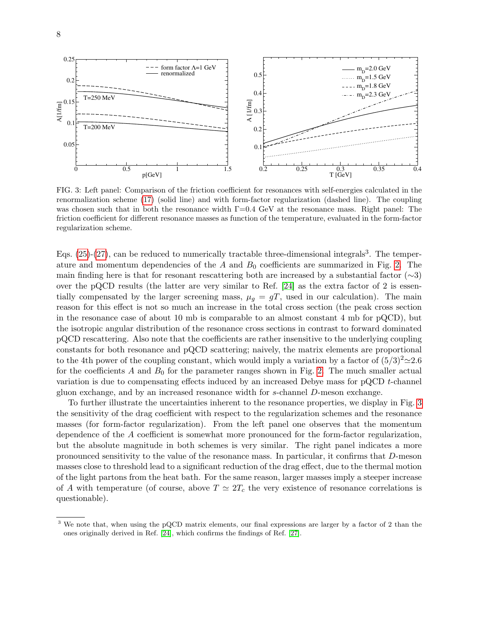

<span id="page-7-0"></span>FIG. 3: Left panel: Comparison of the friction coefficient for resonances with self-energies calculated in the renormalization scheme [\(17\)](#page-4-0) (solid line) and with form-factor regularization (dashed line). The coupling was chosen such that in both the resonance width  $\Gamma=0.4$  GeV at the resonance mass. Right panel: The friction coefficient for different resonance masses as function of the temperature, evaluated in the form-factor regularization scheme.

Eqs.  $(25)-(27)$  $(25)-(27)$ , can be reduced to numerically tractable three-dimensional integrals<sup>3</sup>. The temperature and momentum dependencies of the  $A$  and  $B_0$  coefficients are summarized in Fig. [2.](#page-6-0) The main finding here is that for resonant rescattering both are increased by a substantial factor  $(\sim 3)$ over the pQCD results (the latter are very similar to Ref. [\[24\]](#page-13-23) as the extra factor of 2 is essentially compensated by the larger screening mass,  $\mu_g = gT$ , used in our calculation). The main reason for this effect is not so much an increase in the total cross section (the peak cross section in the resonance case of about 10 mb is comparable to an almost constant 4 mb for pQCD), but the isotropic angular distribution of the resonance cross sections in contrast to forward dominated pQCD rescattering. Also note that the coefficients are rather insensitive to the underlying coupling constants for both resonance and pQCD scattering; naively, the matrix elements are proportional to the 4th power of the coupling constant, which would imply a variation by a factor of  $(5/3)^2 \approx 2.6$ for the coefficients A and  $B_0$  for the parameter ranges shown in Fig. [2.](#page-6-0) The much smaller actual variation is due to compensating effects induced by an increased Debye mass for pQCD t-channel gluon exchange, and by an increased resonance width for s-channel D-meson exchange.

To further illustrate the uncertainties inherent to the resonance properties, we display in Fig. [3](#page-7-0) the sensitivity of the drag coefficient with respect to the regularization schemes and the resonance masses (for form-factor regularization). From the left panel one observes that the momentum dependence of the A coefficient is somewhat more pronounced for the form-factor regularization, but the absolute magnitude in both schemes is very similar. The right panel indicates a more pronounced sensitivity to the value of the resonance mass. In particular, it confirms that D-meson masses close to threshold lead to a significant reduction of the drag effect, due to the thermal motion of the light partons from the heat bath. For the same reason, larger masses imply a steeper increase of A with temperature (of course, above  $T \simeq 2T_c$  the very existence of resonance correlations is questionable).

<sup>3</sup> We note that, when using the pQCD matrix elements, our final expressions are larger by a factor of 2 than the ones originally derived in Ref. [\[24\]](#page-13-23), which confirms the findings of Ref. [\[27\]](#page-14-0).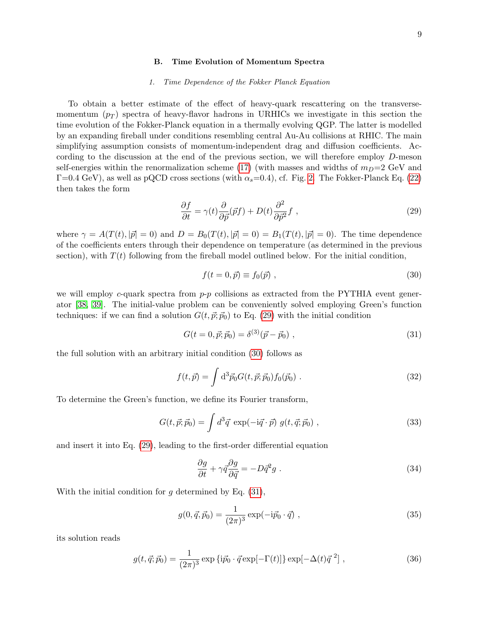#### <span id="page-8-0"></span>B. Time Evolution of Momentum Spectra

#### 1. Time Dependence of the Fokker Planck Equation

To obtain a better estimate of the effect of heavy-quark rescattering on the transversemomentum  $(p_T)$  spectra of heavy-flavor hadrons in URHICs we investigate in this section the time evolution of the Fokker-Planck equation in a thermally evolving QGP. The latter is modelled by an expanding fireball under conditions resembling central Au-Au collisions at RHIC. The main simplifying assumption consists of momentum-independent drag and diffusion coefficients. According to the discussion at the end of the previous section, we will therefore employ D-meson self-energies within the renormalization scheme [\(17\)](#page-4-0) (with masses and widths of  $m_D=2$  GeV and  $\Gamma=0.4$  GeV), as well as pQCD cross sections (with  $\alpha_s=0.4$ ), cf. Fig. [2.](#page-6-0) The Fokker-Planck Eq. [\(22\)](#page-5-3) then takes the form

<span id="page-8-1"></span>
$$
\frac{\partial f}{\partial t} = \gamma(t) \frac{\partial}{\partial \vec{p}} (\vec{p}f) + D(t) \frac{\partial^2}{\partial \vec{p}^2} f \tag{29}
$$

where  $\gamma = A(T(t), |\vec{p}| = 0)$  and  $D = B_0(T(t), |\vec{p}| = 0) = B_1(T(t), |\vec{p}| = 0)$ . The time dependence of the coefficients enters through their dependence on temperature (as determined in the previous section), with  $T(t)$  following from the fireball model outlined below. For the initial condition,

<span id="page-8-3"></span><span id="page-8-2"></span>
$$
f(t = 0, \vec{p}) \equiv f_0(\vec{p}) \tag{30}
$$

we will employ c-quark spectra from  $p-p$  collisions as extracted from the PYTHIA event generator [\[38,](#page-14-11) [39\]](#page-14-12). The initial-value problem can be conveniently solved employing Green's function techniques: if we can find a solution  $G(t, \vec{p}; \vec{p}_0)$  to Eq. [\(29\)](#page-8-1) with the initial condition

<span id="page-8-5"></span>
$$
G(t = 0, \vec{p}; \vec{p}_0) = \delta^{(3)}(\vec{p} - \vec{p}_0) , \qquad (31)
$$

the full solution with an arbitrary initial condition [\(30\)](#page-8-2) follows as

$$
f(t, \vec{p}) = \int d^3 \vec{p}_0 G(t, \vec{p}; \vec{p}_0) f_0(\vec{p}_0) .
$$
 (32)

To determine the Green's function, we define its Fourier transform,

$$
G(t, \vec{p}; \vec{p}_0) = \int d^3 \vec{q} \exp(-i\vec{q} \cdot \vec{p}) g(t, \vec{q}; \vec{p}_0) , \qquad (33)
$$

and insert it into Eq. [\(29\)](#page-8-1), leading to the first-order differential equation

<span id="page-8-4"></span>
$$
\frac{\partial g}{\partial t} + \gamma \vec{q} \frac{\partial g}{\partial \vec{q}} = -D \vec{q}^2 g \tag{34}
$$

With the initial condition for  $g$  determined by Eq.  $(31)$ ,

$$
g(0, \vec{q}, \vec{p}_0) = \frac{1}{(2\pi)^3} \exp(-i\vec{p}_0 \cdot \vec{q}) , \qquad (35)
$$

its solution reads

$$
g(t, \vec{q}; \vec{p}_0) = \frac{1}{(2\pi)^3} \exp\{i\vec{p}_0 \cdot \vec{q} \exp[-\Gamma(t)]\} \exp[-\Delta(t)\vec{q}^2],
$$
 (36)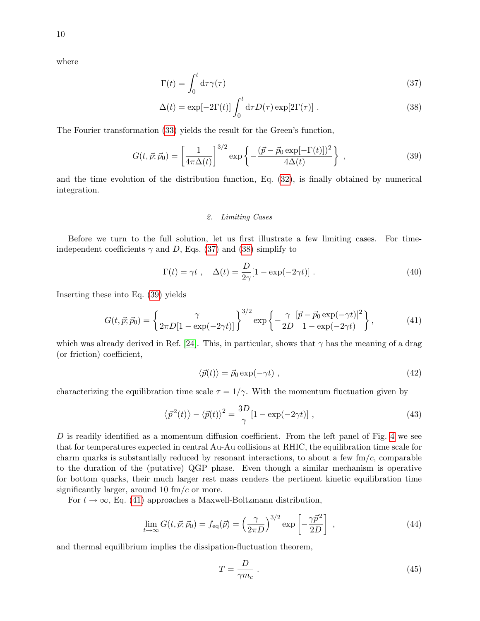where

$$
\Gamma(t) = \int_0^t \mathrm{d}\tau \gamma(\tau) \tag{37}
$$

$$
\Delta(t) = \exp[-2\Gamma(t)] \int_0^t d\tau D(\tau) \exp[2\Gamma(\tau)]. \qquad (38)
$$

The Fourier transformation [\(33\)](#page-8-4) yields the result for the Green's function,

$$
G(t, \vec{p}; \vec{p}_0) = \left[\frac{1}{4\pi\Delta(t)}\right]^{3/2} \exp\left\{-\frac{(\vec{p} - \vec{p}_0 \exp[-\Gamma(t)])^2}{4\Delta(t)}\right\},\tag{39}
$$

and the time evolution of the distribution function, Eq. [\(32\)](#page-8-5), is finally obtained by numerical integration.

### <span id="page-9-3"></span><span id="page-9-2"></span><span id="page-9-1"></span>2. Limiting Cases

Before we turn to the full solution, let us first illustrate a few limiting cases. For timeindependent coefficients  $\gamma$  and D, Eqs. [\(37\)](#page-9-1) and [\(38\)](#page-9-2) simplify to

<span id="page-9-4"></span>
$$
\Gamma(t) = \gamma t , \quad \Delta(t) = \frac{D}{2\gamma} [1 - \exp(-2\gamma t)] . \tag{40}
$$

Inserting these into Eq. [\(39\)](#page-9-3) yields

$$
G(t, \vec{p}; \vec{p}_0) = \left\{ \frac{\gamma}{2\pi D[1 - \exp(-2\gamma t)]} \right\}^{3/2} \exp\left\{ -\frac{\gamma}{2D} \frac{[\vec{p} - \vec{p}_0 \exp(-\gamma t)]^2}{1 - \exp(-2\gamma t)} \right\},\tag{41}
$$

which was already derived in Ref. [\[24\]](#page-13-23). This, in particular, shows that  $\gamma$  has the meaning of a drag (or friction) coefficient,

$$
\langle \vec{p}(t) \rangle = \vec{p}_0 \exp(-\gamma t) \tag{42}
$$

characterizing the equilibration time scale  $\tau = 1/\gamma$ . With the momentum fluctuation given by

$$
\langle \vec{p}^2(t) \rangle - \langle \vec{p}(t) \rangle^2 = \frac{3D}{\gamma} [1 - \exp(-2\gamma t)] \tag{43}
$$

D is readily identified as a momentum diffusion coefficient. From the left panel of Fig. [4](#page-10-0) we see that for temperatures expected in central Au-Au collisions at RHIC, the equilibration time scale for charm quarks is substantially reduced by resonant interactions, to about a few  $\text{fm}/c$ , comparable to the duration of the (putative) QGP phase. Even though a similar mechanism is operative for bottom quarks, their much larger rest mass renders the pertinent kinetic equilibration time significantly larger, around 10  $\text{fm}/c$  or more.

For  $t \to \infty$ , Eq. [\(41\)](#page-9-4) approaches a Maxwell-Boltzmann distribution,

$$
\lim_{t \to \infty} G(t, \vec{p}; \vec{p}_0) = f_{\text{eq}}(\vec{p}) = \left(\frac{\gamma}{2\pi D}\right)^{3/2} \exp\left[-\frac{\gamma \vec{p}^2}{2D}\right] \,,\tag{44}
$$

and thermal equilibrium implies the dissipation-fluctuation theorem,

<span id="page-9-0"></span>
$$
T = \frac{D}{\gamma m_c} \tag{45}
$$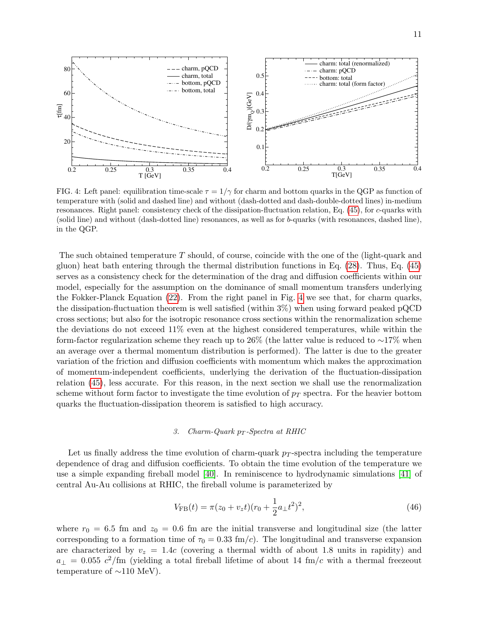

<span id="page-10-0"></span>FIG. 4: Left panel: equilibration time-scale  $\tau = 1/\gamma$  for charm and bottom quarks in the QGP as function of temperature with (solid and dashed line) and without (dash-dotted and dash-double-dotted lines) in-medium resonances. Right panel: consistency check of the dissipation-fluctuation relation, Eq. [\(45\)](#page-9-0), for c-quarks with (solid line) and without (dash-dotted line) resonances, as well as for b-quarks (with resonances, dashed line), in the QGP.

The such obtained temperature T should, of course, coincide with the one of the (light-quark and gluon) heat bath entering through the thermal distribution functions in Eq. [\(28\)](#page-6-1). Thus, Eq. [\(45\)](#page-9-0) serves as a consistency check for the determination of the drag and diffusion coefficients within our model, especially for the assumption on the dominance of small momentum transfers underlying the Fokker-Planck Equation [\(22\)](#page-5-3). From the right panel in Fig. [4](#page-10-0) we see that, for charm quarks, the dissipation-fluctuation theorem is well satisfied (within 3%) when using forward peaked pQCD cross sections; but also for the isotropic resonance cross sections within the renormalization scheme the deviations do not exceed 11% even at the highest considered temperatures, while within the form-factor regularization scheme they reach up to 26% (the latter value is reduced to ∼17% when an average over a thermal momentum distribution is performed). The latter is due to the greater variation of the friction and diffusion coefficients with momentum which makes the approximation of momentum-independent coefficients, underlying the derivation of the fluctuation-dissipation relation [\(45\)](#page-9-0), less accurate. For this reason, in the next section we shall use the renormalization scheme without form factor to investigate the time evolution of  $p<sub>T</sub>$  spectra. For the heavier bottom quarks the fluctuation-dissipation theorem is satisfied to high accuracy.

## 3. Charm-Quark  $p_T$ -Spectra at RHIC

Let us finally address the time evolution of charm-quark  $p_T$ -spectra including the temperature dependence of drag and diffusion coefficients. To obtain the time evolution of the temperature we use a simple expanding fireball model [\[40\]](#page-14-13). In reminiscence to hydrodynamic simulations [\[41\]](#page-14-14) of central Au-Au collisions at RHIC, the fireball volume is parameterized by

$$
V_{\rm FB}(t) = \pi (z_0 + v_z t)(r_0 + \frac{1}{2} a_\perp t^2)^2,
$$
\n(46)

where  $r_0 = 6.5$  fm and  $z_0 = 0.6$  fm are the initial transverse and longitudinal size (the latter corresponding to a formation time of  $\tau_0 = 0.33$  fm/c). The longitudinal and transverse expansion are characterized by  $v_z = 1.4c$  (covering a thermal width of about 1.8 units in rapidity) and  $a_{\perp} = 0.055 \, c^2/\text{fm}$  (yielding a total fireball lifetime of about 14 fm/c with a thermal freezeout temperature of  $\sim$ 110 MeV).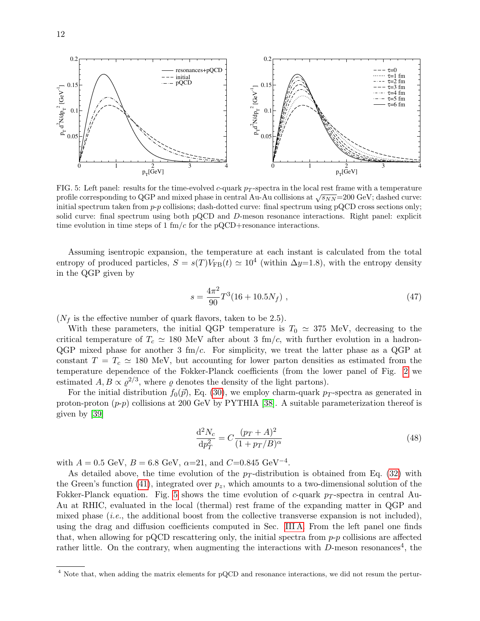

<span id="page-11-0"></span>FIG. 5: Left panel: results for the time-evolved c-quark  $p_T$ -spectra in the local rest frame with a temperature profile corresponding to QGP and mixed phase in central Au-Au collisions at  $\sqrt{s_{NN}}$ =200 GeV; dashed curve: initial spectrum taken from  $p-p$  collisions; dash-dotted curve: final spectrum using pQCD cross sections only; solid curve: final spectrum using both pQCD and D-meson resonance interactions. Right panel: explicit time evolution in time steps of 1 fm/c for the  $pQCD+$ resonance interactions.

Assuming isentropic expansion, the temperature at each instant is calculated from the total entropy of produced particles,  $S = s(T)V_{FB}(t) \simeq 10^4$  (within  $\Delta y=1.8$ ), with the entropy density in the QGP given by

$$
s = \frac{4\pi^2}{90}T^3(16+10.5N_f) \tag{47}
$$

 $(N_f$  is the effective number of quark flavors, taken to be 2.5).

With these parameters, the initial QGP temperature is  $T_0 \simeq 375$  MeV, decreasing to the critical temperature of  $T_c \simeq 180$  MeV after about 3 fm/c, with further evolution in a hadron- $QGP$  mixed phase for another 3 fm/c. For simplicity, we treat the latter phase as a  $QGP$  at constant  $T = T_c \approx 180$  MeV, but accounting for lower parton densities as estimated from the temperature dependence of the Fokker-Planck coefficients (from the lower panel of Fig. [2](#page-6-0) we estimated  $A, B \propto \varrho^{2/3}$ , where  $\varrho$  denotes the density of the light partons).

For the initial distribution  $f_0(\vec{p})$ , Eq. [\(30\)](#page-8-2), we employ charm-quark p<sub>T</sub>-spectra as generated in proton-proton  $(p-p)$  collisions at 200 GeV by PYTHIA [\[38\]](#page-14-11). A suitable parameterization thereof is given by [\[39\]](#page-14-12)

$$
\frac{\mathrm{d}^2 N_c}{\mathrm{d} p_T^2} = C \frac{(p_T + A)^2}{(1 + p_T / B)^\alpha} \tag{48}
$$

with  $A = 0.5$  GeV,  $B = 6.8$  GeV,  $\alpha = 21$ , and  $C = 0.845$  GeV<sup>-4</sup>.

As detailed above, the time evolution of the  $p_T$ -distribution is obtained from Eq. [\(32\)](#page-8-5) with the Green's function [\(41\)](#page-9-4), integrated over  $p_z$ , which amounts to a two-dimensional solution of the Fokker-Planck equation. Fig. [5](#page-11-0) shows the time evolution of c-quark p-spectra in central Au-Au at RHIC, evaluated in the local (thermal) rest frame of the expanding matter in QGP and mixed phase (i.e., the additional boost from the collective transverse expansion is not included), using the drag and diffusion coefficients computed in Sec. [III A.](#page-5-1) From the left panel one finds that, when allowing for pQCD rescattering only, the initial spectra from  $p-p$  collisions are affected rather little. On the contrary, when augmenting the interactions with  $D$ -meson resonances<sup>4</sup>, the

<sup>&</sup>lt;sup>4</sup> Note that, when adding the matrix elements for pQCD and resonance interactions, we did not resum the pertur-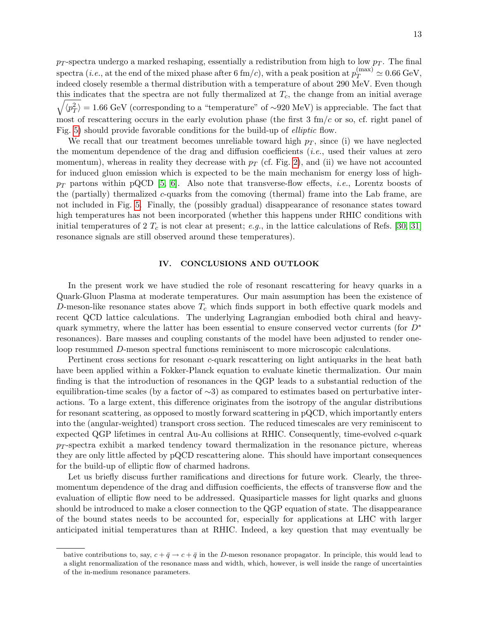$p_T$ -spectra undergo a marked reshaping, essentially a redistribution from high to low  $p_T$ . The final  ${\rm spectra}$  (*i.e.*, at the end of the mixed phase after 6 fm/*c*), with a peak position at  $p_T^{\text{(max)}}\simeq 0.66~\text{GeV},$ indeed closely resemble a thermal distribution with a temperature of about 290 MeV. Even though this indicates that the spectra are not fully thermalized at  $T_c$ , the change from an initial average  $\sqrt{\langle p_T^2 \rangle} = 1.66 \text{ GeV}$  (corresponding to a "temperature" of ∼920 MeV) is appreciable. The fact that most of rescattering occurs in the early evolution phase (the first  $3 \text{ fm}/c$  or so, cf. right panel of Fig. [5\)](#page-11-0) should provide favorable conditions for the build-up of elliptic flow.

We recall that our treatment becomes unreliable toward high  $p<sub>T</sub>$ , since (i) we have neglected the momentum dependence of the drag and diffusion coefficients  $(i.e.,$  used their values at zero momentum), whereas in reality they decrease with  $p_T$  (cf. Fig. [2\)](#page-6-0), and (ii) we have not accounted for induced gluon emission which is expected to be the main mechanism for energy loss of high $p_T$  partons within pQCD [\[5,](#page-13-4) [6\]](#page-13-5). Also note that transverse-flow effects, *i.e.*, Lorentz boosts of the (partially) thermalized c-quarks from the comoving (thermal) frame into the Lab frame, are not included in Fig. [5.](#page-11-0) Finally, the (possibly gradual) disappearance of resonance states toward high temperatures has not been incorporated (whether this happens under RHIC conditions with initial temperatures of 2  $T_c$  is not clear at present; e.g., in the lattice calculations of Refs. [\[30,](#page-14-3) [31\]](#page-14-4) resonance signals are still observed around these temperatures).

## <span id="page-12-0"></span>IV. CONCLUSIONS AND OUTLOOK

In the present work we have studied the role of resonant rescattering for heavy quarks in a Quark-Gluon Plasma at moderate temperatures. Our main assumption has been the existence of D-meson-like resonance states above  $T_c$  which finds support in both effective quark models and recent QCD lattice calculations. The underlying Lagrangian embodied both chiral and heavyquark symmetry, where the latter has been essential to ensure conserved vector currents (for  $D^*$ resonances). Bare masses and coupling constants of the model have been adjusted to render oneloop resummed D-meson spectral functions reminiscent to more microscopic calculations.

Pertinent cross sections for resonant c-quark rescattering on light antiquarks in the heat bath have been applied within a Fokker-Planck equation to evaluate kinetic thermalization. Our main finding is that the introduction of resonances in the QGP leads to a substantial reduction of the equilibration-time scales (by a factor of ∼3) as compared to estimates based on perturbative interactions. To a large extent, this difference originates from the isotropy of the angular distributions for resonant scattering, as opposed to mostly forward scattering in pQCD, which importantly enters into the (angular-weighted) transport cross section. The reduced timescales are very reminiscent to expected QGP lifetimes in central Au-Au collisions at RHIC. Consequently, time-evolved  $c$ -quark  $p_T$ -spectra exhibit a marked tendency toward thermalization in the resonance picture, whereas they are only little affected by pQCD rescattering alone. This should have important consequences for the build-up of elliptic flow of charmed hadrons.

Let us briefly discuss further ramifications and directions for future work. Clearly, the threemomentum dependence of the drag and diffusion coefficients, the effects of transverse flow and the evaluation of elliptic flow need to be addressed. Quasiparticle masses for light quarks and gluons should be introduced to make a closer connection to the QGP equation of state. The disappearance of the bound states needs to be accounted for, especially for applications at LHC with larger anticipated initial temperatures than at RHIC. Indeed, a key question that may eventually be

bative contributions to, say,  $c + \bar{q} \rightarrow c + \bar{q}$  in the D-meson resonance propagator. In principle, this would lead to a slight renormalization of the resonance mass and width, which, however, is well inside the range of uncertainties of the in-medium resonance parameters.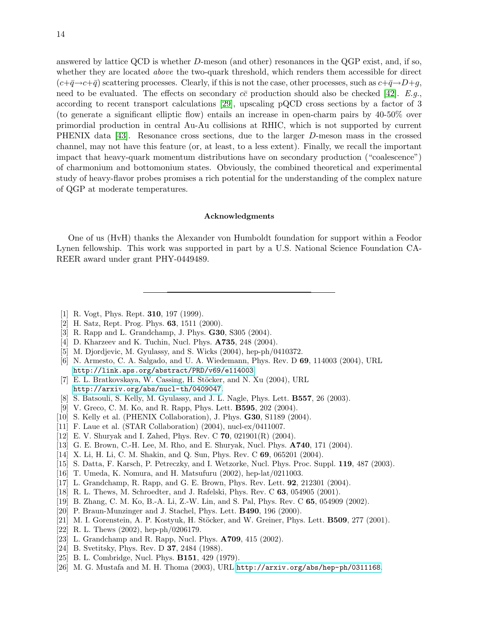answered by lattice QCD is whether D-meson (and other) resonances in the QGP exist, and, if so, whether they are located above the two-quark threshold, which renders them accessible for direct  $(c+\bar{q}\rightarrow c+\bar{q})$  scattering processes. Clearly, if this is not the case, other processes, such as  $c+\bar{q}\rightarrow D+q$ , need to be evaluated. The effects on secondary  $c\bar{c}$  production should also be checked [\[42\]](#page-14-15). E.g., according to recent transport calculations [\[29\]](#page-14-2), upscaling pQCD cross sections by a factor of 3 (to generate a significant elliptic flow) entails an increase in open-charm pairs by 40-50% over primordial production in central Au-Au collisions at RHIC, which is not supported by current PHENIX data [\[43\]](#page-14-16). Resonance cross sections, due to the larger D-meson mass in the crossed channel, may not have this feature (or, at least, to a less extent). Finally, we recall the important impact that heavy-quark momentum distributions have on secondary production ("coalescence") of charmonium and bottomonium states. Obviously, the combined theoretical and experimental study of heavy-flavor probes promises a rich potential for the understanding of the complex nature of QGP at moderate temperatures.

## Acknowledgments

One of us (HvH) thanks the Alexander von Humboldt foundation for support within a Feodor Lynen fellowship. This work was supported in part by a U.S. National Science Foundation CA-REER award under grant PHY-0449489.

- <span id="page-13-0"></span>[1] R. Vogt, Phys. Rept. **310**, 197 (1999).
- <span id="page-13-1"></span>[2] H. Satz, Rept. Prog. Phys. 63, 1511 (2000).
- <span id="page-13-2"></span>[3] R. Rapp and L. Grandchamp, J. Phys. G30, S305 (2004).
- <span id="page-13-3"></span>[4] D. Kharzeev and K. Tuchin, Nucl. Phys. **A735**, 248 (2004).
- <span id="page-13-4"></span>[5] M. Djordjevic, M. Gyulassy, and S. Wicks (2004), hep-ph/0410372.
- <span id="page-13-5"></span>[6] N. Armesto, C. A. Salgado, and U. A. Wiedemann, Phys. Rev. D 69, 114003 (2004), URL <http://link.aps.org/abstract/PRD/v69/e114003>.
- <span id="page-13-6"></span>[7] E. L. Bratkovskaya, W. Cassing, H. Stöcker, and N. Xu (2004), URL <http://arxiv.org/abs/nucl-th/0409047>.
- <span id="page-13-7"></span>[8] S. Batsouli, S. Kelly, M. Gyulassy, and J. L. Nagle, Phys. Lett. B557, 26 (2003).
- <span id="page-13-8"></span>[9] V. Greco, C. M. Ko, and R. Rapp, Phys. Lett. B595, 202 (2004).
- <span id="page-13-9"></span>[10] S. Kelly et al. (PHENIX Collaboration), J. Phys. G30, S1189 (2004).
- <span id="page-13-10"></span>[11] F. Laue et al. (STAR Collaboration) (2004), nucl-ex/0411007.
- <span id="page-13-11"></span>[12] E. V. Shuryak and I. Zahed, Phys. Rev. C  $70$ ,  $021901(R)$  (2004).
- <span id="page-13-12"></span>[13] G. E. Brown, C.-H. Lee, M. Rho, and E. Shuryak, Nucl. Phys. A740, 171 (2004).
- <span id="page-13-13"></span>[14] X. Li, H. Li, C. M. Shakin, and Q. Sun, Phys. Rev. C 69, 065201 (2004).
- <span id="page-13-14"></span>[15] S. Datta, F. Karsch, P. Petreczky, and I. Wetzorke, Nucl. Phys. Proc. Suppl. 119, 487 (2003).
- <span id="page-13-15"></span>[16] T. Umeda, K. Nomura, and H. Matsufuru (2002), hep-lat/0211003.
- <span id="page-13-16"></span>[17] L. Grandchamp, R. Rapp, and G. E. Brown, Phys. Rev. Lett. 92, 212301 (2004).
- <span id="page-13-17"></span>[18] R. L. Thews, M. Schroedter, and J. Rafelski, Phys. Rev. C 63, 054905 (2001).
- <span id="page-13-18"></span>[19] B. Zhang, C. M. Ko, B.-A. Li, Z.-W. Lin, and S. Pal, Phys. Rev. C 65, 054909 (2002).
- <span id="page-13-19"></span>[20] P. Braun-Munzinger and J. Stachel, Phys. Lett. B490, 196 (2000).
- <span id="page-13-20"></span> $[21]$  M. I. Gorenstein, A. P. Kostyuk, H. Stöcker, and W. Greiner, Phys. Lett. **B509**, 277  $(2001)$ .
- <span id="page-13-21"></span>[22] R. L. Thews (2002), hep-ph/0206179.
- <span id="page-13-22"></span>[23] L. Grandchamp and R. Rapp, Nucl. Phys. **A709**, 415 (2002).
- <span id="page-13-23"></span>[24] B. Svetitsky, Phys. Rev. D **37**, 2484 (1988).
- <span id="page-13-24"></span>[25] B. L. Combridge, Nucl. Phys. **B151**, 429 (1979).
- <span id="page-13-25"></span>[26] M. G. Mustafa and M. H. Thoma (2003), URL <http://arxiv.org/abs/hep-ph/0311168>.